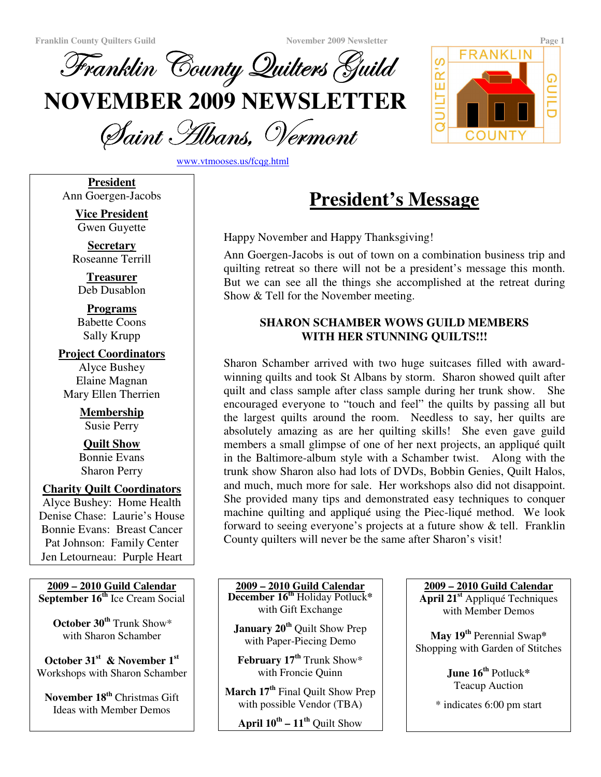

QUILTER'S **NOVEMBER 2009 NEWSLETTER** COUNT

Saint Albans, Vermoni

www.vtmooses.us/fcqg.html

**President** Ann Goergen-Jacobs

> **Vice President** Gwen Guyette

**Secretary** Roseanne Terrill

**Treasurer** Deb Dusablon

**Programs** Babette Coons Sally Krupp

**Project Coordinators** Alyce Bushey Elaine Magnan Mary Ellen Therrien

> **Membership** Susie Perry

> **Quilt Show** Bonnie Evans Sharon Perry

**Charity Quilt Coordinators**

Alyce Bushey: Home Health Denise Chase: Laurie's House Bonnie Evans: Breast Cancer Pat Johnson: Family Center Jen Letourneau: Purple Heart

**2009 – 2010 Guild Calendar September 16 th** Ice Cream Social

**October 30 th** Trunk Show\* with Sharon Schamber

**October 31 st & November 1 st** Workshops with Sharon Schamber

**November 18 th** Christmas Gift Ideas with Member Demos

**President's Message**

Happy November and Happy Thanksgiving!

Ann Goergen-Jacobs is out of town on a combination business trip and quilting retreat so there will not be a president's message this month. But we can see all the things she accomplished at the retreat during Show & Tell for the November meeting.

## **SHARON SCHAMBER WOWS GUILD MEMBERS WITH HER STUNNING QUILTS!!!**

Sharon Schamber arrived with two huge suitcases filled with awardwinning quilts and took St Albans by storm. Sharon showed quilt after quilt and class sample after class sample during her trunk show. She encouraged everyone to "touch and feel" the quilts by passing all but the largest quilts around the room. Needless to say, her quilts are absolutely amazing as are her quilting skills! She even gave guild members a small glimpse of one of her next projects, an appliqué quilt in the Baltimore-album style with a Schamber twist. Along with the trunk show Sharon also had lots of DVDs, Bobbin Genies, Quilt Halos, and much, much more for sale. Her workshops also did not disappoint. She provided many tips and demonstrated easy techniques to conquer machine quilting and appliqué using the Piec-liqué method. We look forward to seeing everyone's projects at a future show & tell. Franklin County quilters will never be the same after Sharon's visit!

**2009 – 2010 Guild Calendar December 16 th** Holiday Potluck**\*** with Gift Exchange

**January 20 th** Quilt Show Prep with Paper-Piecing Demo

**February 17 th** Trunk Show\* with Froncie Quinn

**March 17 th** Final Quilt Show Prep with possible Vendor (TBA)

**April 10 th – 11 th** Quilt Show

**2009 – 2010 Guild Calendar**

**April 21 st** Appliqué Techniques with Member Demos

**May 19 th** Perennial Swap**\*** Shopping with Garden of Stitches

> **June 16 th** Potluck**\*** Teacup Auction

\* indicates 6:00 pm start

**GUILD** 

FRANKLIN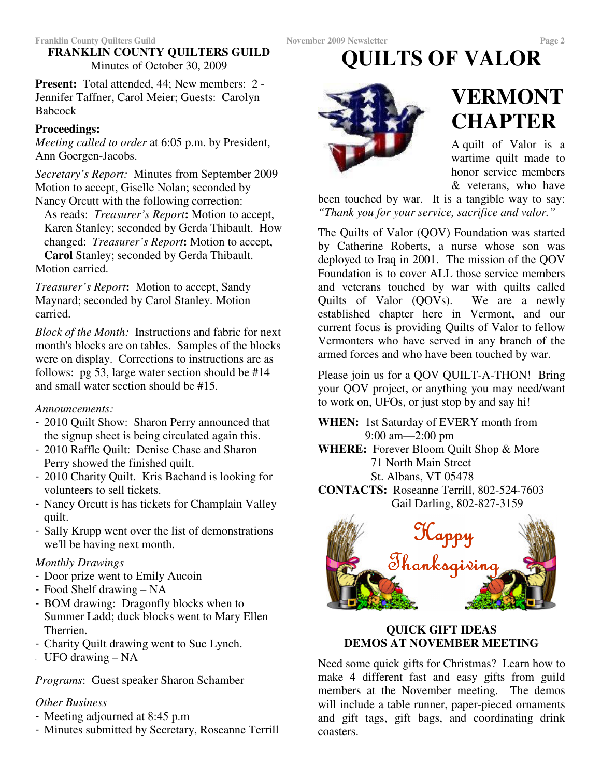## **FRANKLIN COUNTY QUILTERS GUILD** Minutes of October 30, 2009

**Present:** Total attended, 44; New members: 2 - Jennifer Taffner, Carol Meier; Guests: Carolyn Babcock

## **Proceedings:**

*Meeting called to order* at 6:05 p.m. by President, Ann Goergen-Jacobs.

*Secretary's Report:* Minutes from September 2009 Motion to accept, Giselle Nolan; seconded by Nancy Orcutt with the following correction:

As reads: *Treasurer's Report***:** Motion to accept, Karen Stanley; seconded by Gerda Thibault. How changed: *Treasurer's Report***:** Motion to accept, **Carol** Stanley; seconded by Gerda Thibault. Motion carried.

*Treasurer's Report***:** Motion to accept, Sandy Maynard; seconded by Carol Stanley. Motion carried.

*Block of the Month:* Instructions and fabric for next month's blocks are on tables. Samples of the blocks were on display. Corrections to instructions are as follows: pg 53, large water section should be #14 and small water section should be #15.

*Announcements:*

- 2010 Quilt Show: Sharon Perry announced that the signup sheet is being circulated again this.
- 2010 Raffle Quilt: Denise Chase and Sharon Perry showed the finished quilt.
- 2010 Charity Quilt. Kris Bachand is looking for volunteers to sell tickets.
- Nancy Orcutt is has tickets for Champlain Valley quilt.
- Sally Krupp went over the list of demonstrations we'll be having next month.

#### *Monthly Drawings*

- Door prize went to Emily Aucoin
- Food Shelf drawing NA
- BOM drawing: Dragonfly blocks when to Summer Ladd; duck blocks went to Mary Ellen Therrien.
- Charity Quilt drawing went to Sue Lynch.
- UFO drawing NA

*Programs*: Guest speaker Sharon Schamber

## *Other Business*

- Meeting adjourned at 8:45 p.m
- Minutes submitted by Secretary, Roseanne Terrill

# **QUILTS OF VALOR**



## **VERMONT CHAPTER**

A quilt of Valor is a wartime quilt made to honor service members & veterans, who have

been touched by war. It is a tangible way to say: *"Thank you for your service, sacrifice and valor."*

The Quilts of Valor (QOV) Foundation was started by Catherine Roberts, a nurse whose son was deployed to Iraq in 2001. The mission of the QOV Foundation is to cover ALL those service members and veterans touched by war with quilts called Quilts of Valor (QOVs). We are a newly established chapter here in Vermont, and our current focus is providing Quilts of Valor to fellow Vermonters who have served in any branch of the armed forces and who have been touched by war.

Please join us for a QOV QUILT-A-THON! Bring your QOV project, or anything you may need/want to work on, UFOs, or just stop by and say hi!

- **WHEN:** 1st Saturday of EVERY month from 9:00 am—2:00 pm
- **WHERE:** Forever Bloom Quilt Shop & More 71 North Main Street

St. Albans, VT 05478

**CONTACTS:** Roseanne Terrill, 802-524-7603 Gail Darling, 802-827-3159



## **QUICK GIFT IDEAS DEMOS AT NOVEMBER MEETING**

Need some quick gifts for Christmas? Learn how to make 4 different fast and easy gifts from guild members at the November meeting. The demos will include a table runner, paper-pieced ornaments and gift tags, gift bags, and coordinating drink coasters.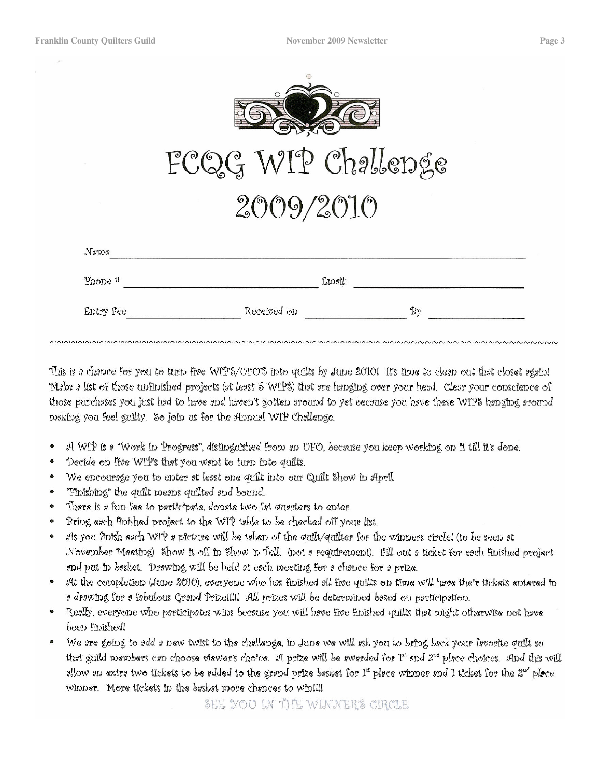|                | FCQG WIP Challenge |    |
|----------------|--------------------|----|
|                | 2009/2010          |    |
| $N$ <i>ame</i> |                    |    |
| $Phone$ $#$    | Email:             |    |
| Entry Fee      | Received on        | Bγ |

This is a chance for you to turn five WIP's/OFO'S into guilts by June 2010! It's time to clean out that closet again! Møke ø list of those unfinished projects (øt legst 5 WIPS) that øre hønging over your head. Clear your conscience of those purchases you just had to have and haven't gotten around to yet because you have these WIPS hanging around making you feel guilty. So join us for the Annual WIP Challenge.

- A WIP is a "Work In Progress", distinguished from an UFO, because you keep working on it till it's done.
- Decide on five WIP's that you want to turn into quilts.
- We encourage you to enter at least one quilt into our Quilt Show in April.
- "Finishing" the quilt mesns quilted snd bound.
- There is a fun fee to participate, donate two fat quarters to enter.
- Bring each finished project to the WIP table to be checked off your list.
- As you finish each WIP a picture will be taken of the guilt/guilter for the winners circle! (to be seen at  $\bullet$ November Meeting) Show it off in Show 'n Tell, (not 2 requirement). Fill out 2 ticket for e2ch finished project and put in basket. Drawing will be held at each meeting for a chance for a prize.
- At the completion (June 2010), everyone who has finished all five quilts on time will have their tickets entered in a drawing for a fabulous Grand Prize!!!!! All prizes will be determined based on participation.
- Really, everyone who participates wins because you will have five finished quilts that might otherwise not have been finished!
- We are going to add a new twist to the challenge, in June we will ask you to bring back your favorite quilt so that guild members can choose viewer's choice. A prize will be awarded for 1st and 2<sup>nd</sup> place choices. And this will allow an extra two tickets to be added to the grand prize basket for 1st place winner and 1 ticket for the 2<sup>nd</sup> place winner. More tickets in the besket more chances to win!!!!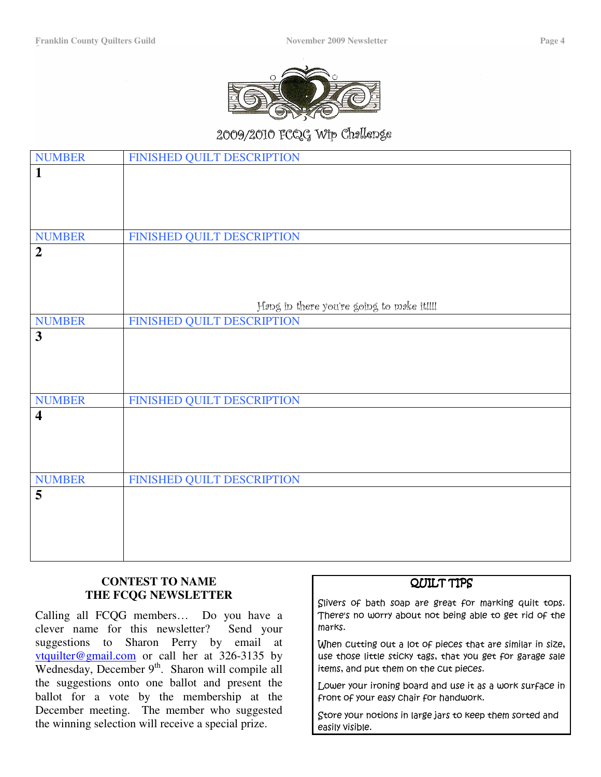

## 2009/2010 FCQG Wip Challenge

| <b>NUMBER</b>           | FINISHED QUILT DESCRIPTION                |
|-------------------------|-------------------------------------------|
| $\mathbf{1}$            |                                           |
|                         |                                           |
|                         |                                           |
|                         |                                           |
| <b>NUMBER</b>           | FINISHED QUILT DESCRIPTION                |
| $\overline{2}$          |                                           |
|                         |                                           |
|                         |                                           |
|                         |                                           |
|                         | Hong in there you're going to moke it!!!! |
| <b>NUMBER</b>           | FINISHED QUILT DESCRIPTION                |
| $\overline{\mathbf{3}}$ |                                           |
|                         |                                           |
|                         |                                           |
|                         |                                           |
| <b>NUMBER</b>           | FINISHED QUILT DESCRIPTION                |
| $\overline{\mathbf{4}}$ |                                           |
|                         |                                           |
|                         |                                           |
|                         |                                           |
|                         |                                           |
| <b>NUMBER</b>           | FINISHED QUILT DESCRIPTION                |
| 5                       |                                           |
|                         |                                           |
|                         |                                           |
|                         |                                           |
|                         |                                           |

#### **CONTEST TO NAME THE FCQG NEWSLETTER**

Calling all FCQG members… Do you have a clever name for this newsletter? Send your suggestions to Sharon Perry by email at vtquilter@gmail.com or call her at 326-3135 by Wednesday, December 9<sup>th</sup>. Sharon will compile all the suggestions onto one ballot and present the ballot for a vote by the membership at the December meeting. The member who suggested the winning selection will receive a special prize.

#### QUILT TIPS

Slivers of bath soap are great for marking quilt tops. There's no worry about not being able to get rid of the  $\,$ marks.

When cutting out a lot of pieces that are similar in size, use those little sticky tags, that you get for garage sale items, and put them on the cut pieces.

Lower your ironing board and use it as a work surface in front of your easy Chair for handwork.

 ${\mathop{\mathcal{S} \text{core}}}$  your notions in large jars to keep them sorted and easily visible.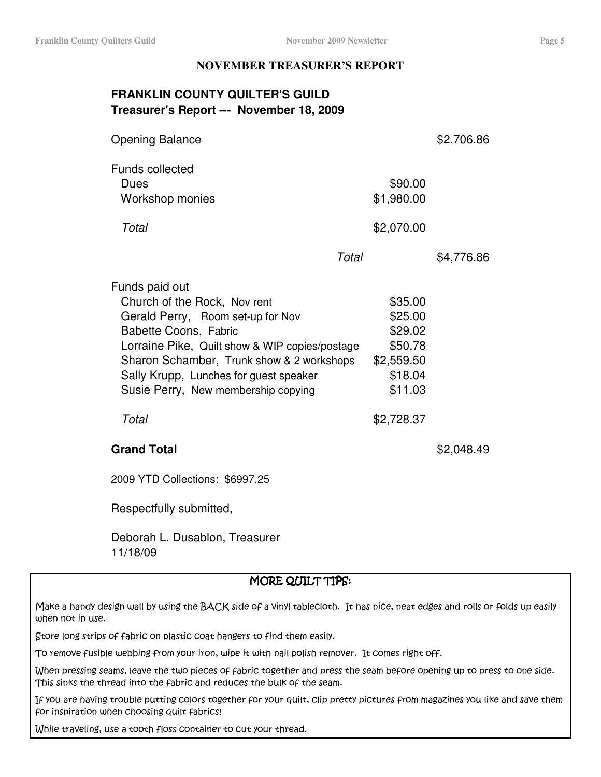#### **NOVEMBER TREASURER'S REPORT**

## **FRANKLIN COUNTY QUILTER'S GUILD Treasurer's Report --- November 18, 2009**

| <b>Opening Balance</b>                                                                                                                                                                                                                                                                       |                                                                              | \$2,706.86 |
|----------------------------------------------------------------------------------------------------------------------------------------------------------------------------------------------------------------------------------------------------------------------------------------------|------------------------------------------------------------------------------|------------|
| <b>Funds collected</b><br>Dues<br>Workshop monies                                                                                                                                                                                                                                            | \$90.00<br>\$1,980.00                                                        |            |
| Total                                                                                                                                                                                                                                                                                        | \$2,070.00                                                                   |            |
|                                                                                                                                                                                                                                                                                              | Total                                                                        | \$4,776.86 |
| Funds paid out<br>Church of the Rock, Nov rent<br>Gerald Perry, Room set-up for Nov<br>Babette Coons, Fabric<br>Lorraine Pike, Quilt show & WIP copies/postage<br>Sharon Schamber, Trunk show & 2 workshops<br>Sally Krupp, Lunches for guest speaker<br>Susie Perry, New membership copying | \$35.00<br>\$25.00<br>\$29.02<br>\$50.78<br>\$2,559.50<br>\$18.04<br>\$11.03 |            |
| Total                                                                                                                                                                                                                                                                                        | \$2,728.37                                                                   |            |
| <b>Grand Total</b>                                                                                                                                                                                                                                                                           |                                                                              | \$2,048.49 |
| 2009 YTD Collections: \$6997.25                                                                                                                                                                                                                                                              |                                                                              |            |
| Respectfully submitted,                                                                                                                                                                                                                                                                      |                                                                              |            |

Deborah L. Dusablon, Treasurer 11/18/09

#### MORE QUILT TIPS:

Make a handy design wall by using the  $\mathtt{BACK}$  side of a vinyl tablecloth. It has nice, neat edges and rolls or folds up easily when no<del>t</del> in use.

 $\operatorname{\sf Store}$  long strips of fabric on plastic coat hangers to find them easily.

To remove fusible webbing from your iron, wipe it with nail polish remover. It comes right off.  $\,$ 

When pressing seams, leave the two pieces of fabric together and press the seam before opening up to press to one side. This sinks the thread into the fabric and reduces the bulk of the seam.  $\;$ 

]f you are having trouble putting colors together for your quilt, clip pretty pictures from magazines you like and save then  $\,$ for inspiration when Choosing quilt fabrics!

While traveling, use a tooth floss container to cut your thread.